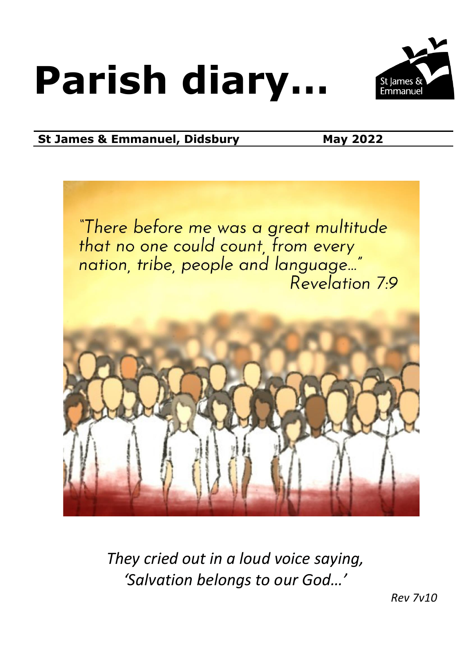# **Parish diary…**



### **St James & Emmanuel, Didsbury May 2022**



*They cried out in a loud voice saying, 'Salvation belongs to our God…'*

*Rev 7v10*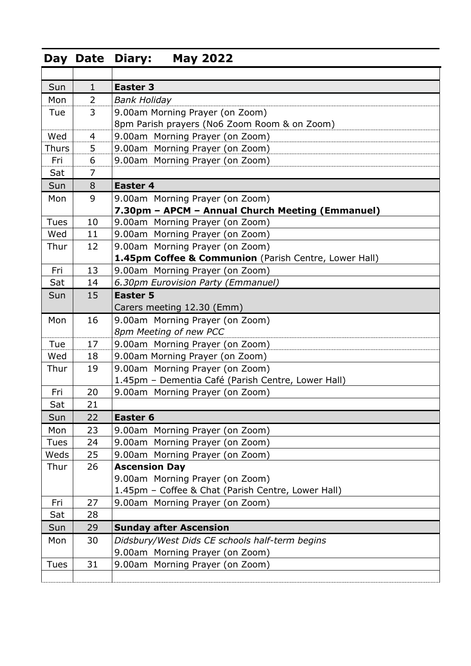### **Day Date Diary: May 2022**

| Sun                          | $\mathbf{1}$   | <b>Easter 3</b>                                       |  |  |  |  |
|------------------------------|----------------|-------------------------------------------------------|--|--|--|--|
| Mon                          | $\overline{2}$ | <b>Bank Holiday</b>                                   |  |  |  |  |
| Tue                          | 3              | 9.00am Morning Prayer (on Zoom)                       |  |  |  |  |
|                              |                | 8pm Parish prayers (No6 Zoom Room & on Zoom)          |  |  |  |  |
| Wed                          | 4              | 9.00am Morning Prayer (on Zoom)                       |  |  |  |  |
| <b>Thurs</b>                 | 5              | 9.00am Morning Prayer (on Zoom)                       |  |  |  |  |
| Fri                          | 6              | 9.00am Morning Prayer (on Zoom)                       |  |  |  |  |
| Sat                          | $\overline{7}$ |                                                       |  |  |  |  |
| Sun                          | 8              | <b>Easter 4</b>                                       |  |  |  |  |
| Mon                          | 9              | 9.00am Morning Prayer (on Zoom)                       |  |  |  |  |
|                              |                | 7.30pm - APCM - Annual Church Meeting (Emmanuel)      |  |  |  |  |
| <b>Tues</b>                  | 10             | 9.00am Morning Prayer (on Zoom)                       |  |  |  |  |
| Wed                          | 11             | 9.00am Morning Prayer (on Zoom)                       |  |  |  |  |
| Thur                         | 12             | 9.00am Morning Prayer (on Zoom)                       |  |  |  |  |
|                              |                | 1.45pm Coffee & Communion (Parish Centre, Lower Hall) |  |  |  |  |
| Fri                          | 13             | 9.00am Morning Prayer (on Zoom)                       |  |  |  |  |
| Sat                          | 14             | 6.30pm Eurovision Party (Emmanuel)                    |  |  |  |  |
| 15<br><b>Easter 5</b><br>Sun |                |                                                       |  |  |  |  |
|                              |                | Carers meeting 12.30 (Emm)                            |  |  |  |  |
| Mon                          | 16             | 9.00am Morning Prayer (on Zoom)                       |  |  |  |  |
|                              |                | 8pm Meeting of new PCC                                |  |  |  |  |
| Tue                          | 17             | 9.00am Morning Prayer (on Zoom)                       |  |  |  |  |
| Wed                          | 18             | 9.00am Morning Prayer (on Zoom)                       |  |  |  |  |
| Thur                         | 19             | 9.00am Morning Prayer (on Zoom)                       |  |  |  |  |
|                              |                | 1.45pm - Dementia Café (Parish Centre, Lower Hall)    |  |  |  |  |
| Fri                          | 20             | 9.00am Morning Prayer (on Zoom)                       |  |  |  |  |
| Sat                          | 21             |                                                       |  |  |  |  |
| Sun                          | 22             | Easter 6                                              |  |  |  |  |
| Mon                          | 23             | 9.00am Morning Prayer (on Zoom)                       |  |  |  |  |
| <b>Tues</b>                  | 24             | 9.00am Morning Prayer (on Zoom)                       |  |  |  |  |
| Weds                         | 25             | 9.00am Morning Prayer (on Zoom)                       |  |  |  |  |
| Thur                         | 26             | <b>Ascension Day</b>                                  |  |  |  |  |
|                              |                | 9.00am Morning Prayer (on Zoom)                       |  |  |  |  |
|                              |                | 1.45pm - Coffee & Chat (Parish Centre, Lower Hall)    |  |  |  |  |
| Fri                          | 27             | 9.00am Morning Prayer (on Zoom)                       |  |  |  |  |
| Sat                          | 28             |                                                       |  |  |  |  |
| Sun                          | 29             | <b>Sunday after Ascension</b>                         |  |  |  |  |
| Mon                          | 30             | Didsbury/West Dids CE schools half-term begins        |  |  |  |  |
|                              |                | 9.00am Morning Prayer (on Zoom)                       |  |  |  |  |
| <b>Tues</b>                  | 31             | 9.00am Morning Prayer (on Zoom)                       |  |  |  |  |
|                              |                |                                                       |  |  |  |  |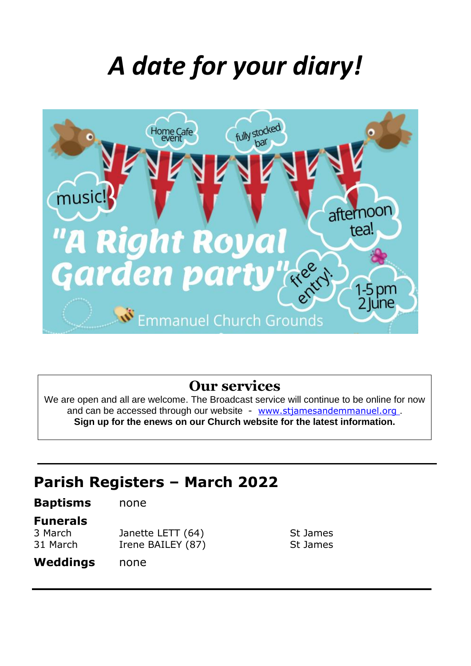## *A date for your diary!*



### **Our services**

We are open and all are welcome. The Broadcast service will continue to be online for now and can be accessed through our website - [www.stjamesandemmanuel.org](http://www.stjamesandemmanuel.org/). **Sign up for the enews on our Church website for the latest information.**

> St James St James

### **Parish Registers – March 2022**

| <b>Baptisms</b>     | none                                   |
|---------------------|----------------------------------------|
| <b>Funerals</b>     |                                        |
| 3 March<br>31 March | Janette LETT (64)<br>Irene BAILEY (87) |
| Weddings            | none                                   |